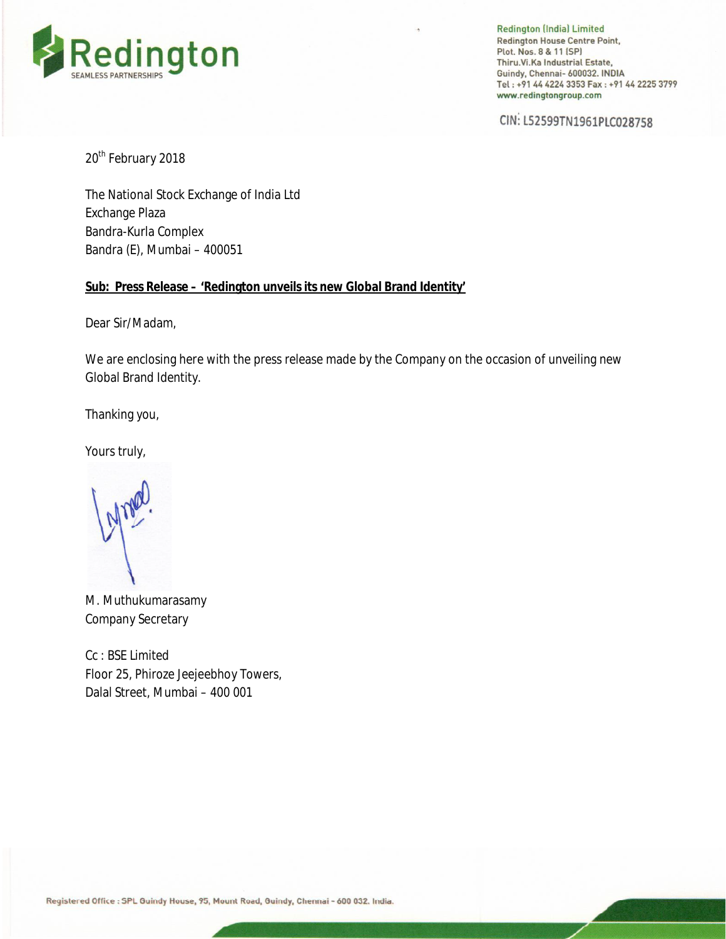

**Redington (India) Limited Redington House Centre Point,** Plot. Nos. 8 & 11 (SP) Thiru. Vi. Ka Industrial Estate, Guindy, Chennai- 600032. INDIA Tel: +91 44 4224 3353 Fax: +91 44 2225 3799 www.redingtongroup.com

CIN: L52599TN1961PLC028758

20<sup>th</sup> February 2018

The National Stock Exchange of India Ltd Exchange Plaza Bandra-Kurla Complex Bandra (E), Mumbai – 400051

### **Sub: Press Release – 'Redington unveils its new Global Brand Identity'**

Dear Sir/Madam,

We are enclosing here with the press release made by the Company on the occasion of unveiling new Global Brand Identity.

Thanking you,

Yours truly,

M. Muthukumarasamy Company Secretary

Cc : BSE Limited Floor 25, Phiroze Jeejeebhoy Towers, Dalal Street, Mumbai – 400 001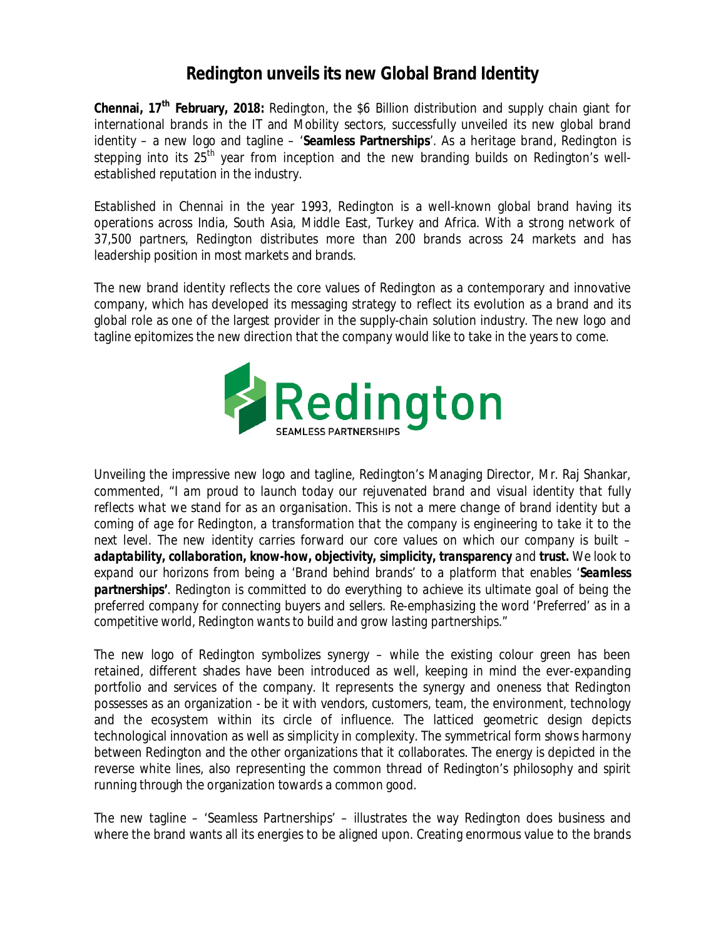# **Redington unveils its new Global Brand Identity**

**Chennai, 17th February, 2018:** Redington, the \$6 Billion distribution and supply chain giant for international brands in the IT and Mobility sectors, successfully unveiled its new global brand identity – a new logo and tagline – '**Seamless Partnerships**'. As a heritage brand, Redington is stepping into its 25<sup>th</sup> year from inception and the new branding builds on Redington's wellestablished reputation in the industry.

Established in Chennai in the year 1993, Redington is a well-known global brand having its operations across India, South Asia, Middle East, Turkey and Africa. With a strong network of 37,500 partners, Redington distributes more than 200 brands across 24 markets and has leadership position in most markets and brands.

The new brand identity reflects the core values of Redington as a contemporary and innovative company, which has developed its messaging strategy to reflect its evolution as a brand and its global role as one of the largest provider in the supply-chain solution industry. The new logo and tagline epitomizes the new direction that the company would like to take in the years to come.



Unveiling the impressive new logo and tagline, Redington's Managing Director, Mr. Raj Shankar, commented, "*I am proud to launch today our rejuvenated brand and visual identity that fully* reflects what we stand for as an organisation. This is not a mere change of brand identity but a *coming of age for Redington, a transformation that the company is engineering to take it to the next level. The new identity carries forward our core values on which our company is built – adaptability, collaboration, know-how, objectivity, simplicity, transparency and trust. We look to expand our horizons from being a 'Brand behind brands' to a platform that enables 'Seamless partnerships'. Redington is committed to do everything to achieve its ultimate goal of being the preferred company for connecting buyers and sellers. Re-emphasizing the word 'Preferred' as in a competitive world, Redington wants to build and grow lasting partnerships."*

The new logo of Redington symbolizes synergy – while the existing colour green has been retained, different shades have been introduced as well, keeping in mind the ever-expanding portfolio and services of the company. It represents the synergy and oneness that Redington possesses as an organization - be it with vendors, customers, team, the environment, technology and the ecosystem within its circle of influence. The latticed geometric design depicts technological innovation as well as simplicity in complexity. The symmetrical form shows harmony between Redington and the other organizations that it collaborates. The energy is depicted in the reverse white lines, also representing the common thread of Redington's philosophy and spirit running through the organization towards a common good.

The new tagline – 'Seamless Partnerships' – illustrates the way Redington does business and where the brand wants all its energies to be aligned upon. Creating enormous value to the brands